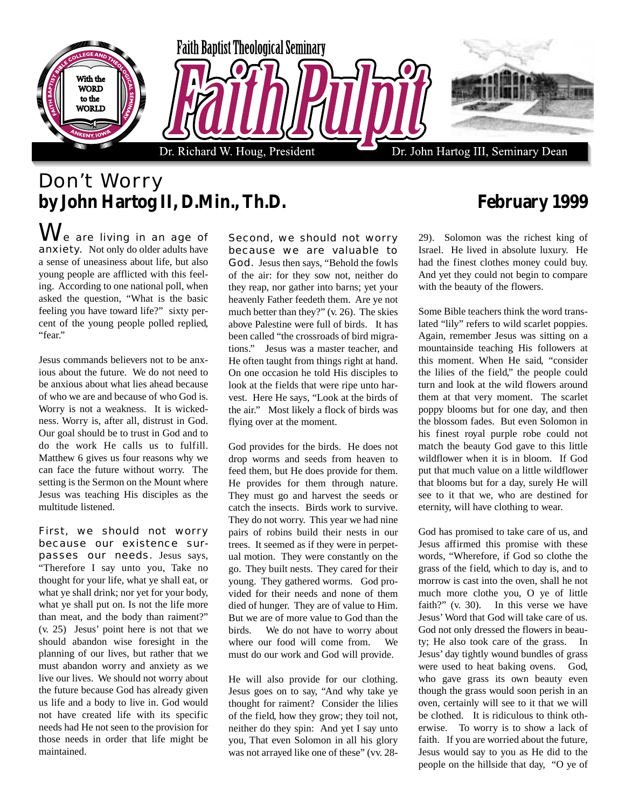

## Don't Worry **by John Hartog II, D.Min., Th.D. February 1999**

 $\mathsf{W}\vphantom{M_{\mathrm{e}}}$  are living in an age of anxiety. Not only do older adults have a sense of uneasiness about life, but also young people are afflicted with this feeling. According to one national poll, when asked the question, "What is the basic feeling you have toward life?" sixty percent of the young people polled replied, "fear."

Jesus commands believers not to be anxious about the future. We do not need to be anxious about what lies ahead because of who we are and because of who God is. Worry is not a weakness. It is wickedness. Worry is, after all, distrust in God. Our goal should be to trust in God and to do the work He calls us to fulfill. Matthew 6 gives us four reasons why we can face the future without worry. The setting is the Sermon on the Mount where Jesus was teaching His disciples as the multitude listened.

First, we should not worry because our existence surpasses our needs. Jesus says, "Therefore I say unto you, Take no thought for your life, what ye shall eat, or what ye shall drink; nor yet for your body, what ye shall put on. Is not the life more than meat, and the body than raiment?" (v. 25) Jesus' point here is not that we should abandon wise foresight in the planning of our lives, but rather that we must abandon worry and anxiety as we live our lives. We should not worry about the future because God has already given us life and a body to live in. God would not have created life with its specific needs had He not seen to the provision for those needs in order that life might be maintained.

Second, we should not worry because we are valuable to God. Jesus then says, "Behold the fowls of the air: for they sow not, neither do they reap, nor gather into barns; yet your heavenly Father feedeth them. Are ye not much better than they?" (v. 26). The skies above Palestine were full of birds. It has been called "the crossroads of bird migrations." Jesus was a master teacher, and He often taught from things right at hand. On one occasion he told His disciples to look at the fields that were ripe unto harvest. Here He says, "Look at the birds of the air." Most likely a flock of birds was flying over at the moment.

God provides for the birds. He does not drop worms and seeds from heaven to feed them, but He does provide for them. He provides for them through nature. They must go and harvest the seeds or catch the insects. Birds work to survive. They do not worry. This year we had nine pairs of robins build their nests in our trees. It seemed as if they were in perpetual motion. They were constantly on the go. They built nests. They cared for their young. They gathered worms. God provided for their needs and none of them died of hunger. They are of value to Him. But we are of more value to God than the birds. We do not have to worry about where our food will come from. We must do our work and God will provide.

He will also provide for our clothing. Jesus goes on to say, "And why take ye thought for raiment? Consider the lilies of the field, how they grow; they toil not, neither do they spin: And yet I say unto you, That even Solomon in all his glory was not arrayed like one of these" (vv. 28-

29). Solomon was the richest king of Israel. He lived in absolute luxury. He had the finest clothes money could buy. And yet they could not begin to compare with the beauty of the flowers.

Some Bible teachers think the word translated "lily" refers to wild scarlet poppies. Again, remember Jesus was sitting on a mountainside teaching His followers at this moment. When He said, "consider the lilies of the field," the people could turn and look at the wild flowers around them at that very moment. The scarlet poppy blooms but for one day, and then the blossom fades. But even Solomon in his finest royal purple robe could not match the beauty God gave to this little wildflower when it is in bloom. If God put that much value on a little wildflower that blooms but for a day, surely He will see to it that we, who are destined for eternity, will have clothing to wear.

God has promised to take care of us, and Jesus affirmed this promise with these words, "Wherefore, if God so clothe the grass of the field, which to day is, and to morrow is cast into the oven, shall he not much more clothe you, O ye of little faith?" (v. 30). In this verse we have Jesus' Word that God will take care of us. God not only dressed the flowers in beauty; He also took care of the grass. In Jesus' day tightly wound bundles of grass were used to heat baking ovens. God, who gave grass its own beauty even though the grass would soon perish in an oven, certainly will see to it that we will be clothed. It is ridiculous to think otherwise. To worry is to show a lack of faith. If you are worried about the future, Jesus would say to you as He did to the people on the hillside that day, "O ye of